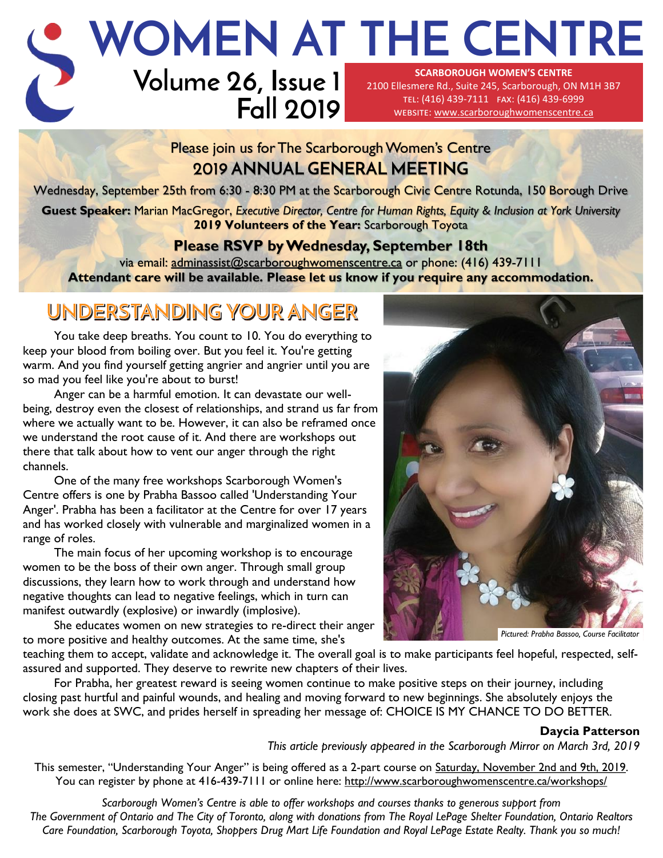# **WOMEN AT THE CENTRE**

# **Volume 26, Issue 1 Fall 2019**

**SCARBOROUGH WOMEN'S CENTRE**  2100 Ellesmere Rd., Suite 245, Scarborough, ON M1H 3B7 tel: (416) 439-7111 fax: (416) 439-6999 website: [www.scarboroughwomenscentre.ca](http://www.scarboroughwomenscentre.ca)

### Please join us for The Scarborough Women's Centre **2019 ANNUAL GENERAL MEETING**

Wednesday, September 25th from 6:30 - 8:30 PM at the Scarborough Civic Centre Rotunda, 150 Borough Drive

**Guest Speaker:** Marian MacGregor, *Executive Director, Centre for Human Rights, Equity & Inclusion at York University*  **2019 Volunteers of the Year:** Scarborough Toyota

### **Please RSVP by Wednesday, September 18th**

via email: [adminassist@scarboroughwomenscentre.ca](mailto:adminassist@scarboroughwomenscentre.ca?subject=2019%20AGM%20RSVP) or phone: (416) 439-7111 **Attendant care will be available. Please let us know if you require any accommodation.** 

## UNDERSTANDING YOUR ANGER

You take deep breaths. You count to 10. You do everything to keep your blood from boiling over. But you feel it. You're getting warm. And you find yourself getting angrier and angrier until you are so mad you feel like you're about to burst!

Anger can be a harmful emotion. It can devastate our wellbeing, destroy even the closest of relationships, and strand us far from where we actually want to be. However, it can also be reframed once we understand the root cause of it. And there are workshops out there that talk about how to vent our anger through the right channels.

One of the many free workshops Scarborough Women's Centre offers is one by Prabha Bassoo called 'Understanding Your Anger'. Prabha has been a facilitator at the Centre for over 17 years and has worked closely with vulnerable and marginalized women in a range of roles.

The main focus of her upcoming workshop is to encourage women to be the boss of their own anger. Through small group discussions, they learn how to work through and understand how negative thoughts can lead to negative feelings, which in turn can manifest outwardly (explosive) or inwardly (implosive).

She educates women on new strategies to re-direct their anger to more positive and healthy outcomes. At the same time, she's



*Pictured: Prabha Bassoo, Course Facilitator*

teaching them to accept, validate and acknowledge it. The overall goal is to make participants feel hopeful, respected, selfassured and supported. They deserve to rewrite new chapters of their lives.

For Prabha, her greatest reward is seeing women continue to make positive steps on their journey, including closing past hurtful and painful wounds, and healing and moving forward to new beginnings. She absolutely enjoys the work she does at SWC, and prides herself in spreading her message of: CHOICE IS MY CHANCE TO DO BETTER*.*

### **Daycia Patterson**

*This article previously appeared in the Scarborough Mirror on March 3rd, 2019* 

This semester, "Understanding Your Anger" is being offered as a 2-part course on Saturday, November 2nd and 9th, 2019. You can register by phone at 416-439-7111 or online here:<http://www.scarboroughwomenscentre.ca/workshops/>

*Scarborough Women's Centre is able to offer workshops and courses thanks to generous support from The Government of Ontario and The City of Toronto, along with donations from The Royal LePage Shelter Foundation, Ontario Realtors Care Foundation, Scarborough Toyota, Shoppers Drug Mart Life Foundation and Royal LePage Estate Realty. Thank you so much!*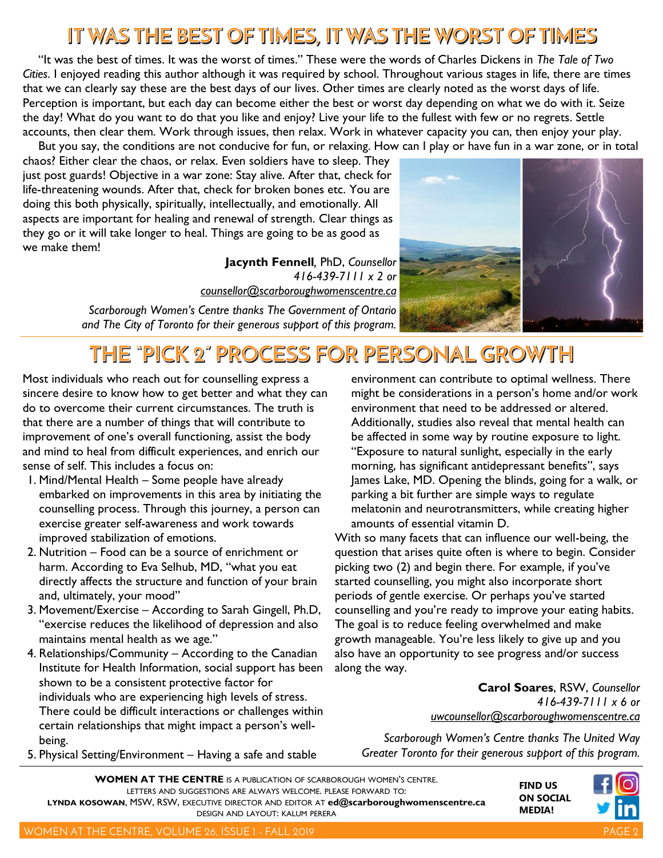### IT WAS THE BEST OF TIMES, IT WAS THE WORST OF TIMES

"It was the best of times. It was the worst of times." These were the words of Charles Dickens in *The Tale of Two Cities*. I enjoyed reading this author although it was required by school. Throughout various stages in life, there are times that we can clearly say these are the best days of our lives. Other times are clearly noted as the worst days of life. Perception is important, but each day can become either the best or worst day depending on what we do with it. Seize the day! What do you want to do that you like and enjoy? Live your life to the fullest with few or no regrets. Settle accounts, then clear them. Work through issues, then relax. Work in whatever capacity you can, then enjoy your play. But you say, the conditions are not conducive for fun, or relaxing. How can I play or have fun in a war zone, or in total

chaos? Either clear the chaos, or relax. Even soldiers have to sleep. They just post guards! Objective in a war zone: Stay alive. After that, check for life-threatening wounds. After that, check for broken bones etc. You are doing this both physically, spiritually, intellectually, and emotionally. All aspects are important for healing and renewal of strength. Clear things as they go or it will take longer to heal. Things are going to be as good as we make them!

> **Jacynth Fennell***,* PhD, *Counsellor 416-439-7111 x 2 or [counsellor@scarboroughwomenscentre.ca](mailto:counsellor@scarboroughwomenscentre.ca?subject=Counselling%20at%20SWC)*

*Scarborough Women's Centre thanks The Government of Ontario and The City of Toronto for their generous support of this program.* 

### THE "PICK 2" PROCESS FOR PERSONAL GROWTH

Most individuals who reach out for counselling express a sincere desire to know how to get better and what they can do to overcome their current circumstances. The truth is that there are a number of things that will contribute to improvement of one's overall functioning, assist the body and mind to heal from difficult experiences, and enrich our sense of self. This includes a focus on:

- 1. Mind/Mental Health Some people have already embarked on improvements in this area by initiating the counselling process. Through this journey, a person can exercise greater self-awareness and work towards improved stabilization of emotions.
- 2. Nutrition Food can be a source of enrichment or harm. According to Eva Selhub, MD, "what you eat directly affects the structure and function of your brain and, ultimately, your mood"
- 3. Movement/Exercise According to Sarah Gingell, Ph.D, "exercise reduces the likelihood of depression and also maintains mental health as we age."
- 4. Relationships/Community According to the Canadian Institute for Health Information, social support has been shown to be a consistent protective factor for individuals who are experiencing high levels of stress. There could be difficult interactions or challenges within certain relationships that might impact a person's wellbeing.
- 5. Physical Setting/Environment Having a safe and stable

environment can contribute to optimal wellness. There might be considerations in a person's home and/or work environment that need to be addressed or altered. Additionally, studies also reveal that mental health can be affected in some way by routine exposure to light. "Exposure to natural sunlight, especially in the early morning, has significant antidepressant benefits", says James Lake, MD. Opening the blinds, going for a walk, or parking a bit further are simple ways to regulate melatonin and neurotransmitters, while creating higher amounts of essential vitamin D.

With so many facets that can influence our well-being, the question that arises quite often is where to begin. Consider picking two (2) and begin there. For example, if you've started counselling, you might also incorporate short periods of gentle exercise. Or perhaps you've started counselling and you're ready to improve your eating habits. The goal is to reduce feeling overwhelmed and make growth manageable. You're less likely to give up and you also have an opportunity to see progress and/or success along the way.

> **Carol Soares**, RSW, *Counsellor 416-439-7111 x 6 or [uwcounsellor@scarboroughwomenscentre.ca](mailto:uwcounsellor@scarboroughwomenscentre.ca?subject=Counselling%20at%20SWC)*

> > **FIND US**

**MEDIA!**

*Scarborough Women's Centre thanks The United Way Greater Toronto for their generous support of this program.* 

**WOMEN AT THE CENTRE** IS A PUBLICATION OF SCARBOROUGH WOMEN'S CENTRE. LETTERS AND SUGGESTIONS ARE ALWAYS WELCOME. PLEASE FORWARD TO: **LYNDA KOSOWAN**, MSW, RSW, EXECUTIVE DIRECTOR AND EDITOR AT **[ed@scarboroughwomenscentre.ca](mailto:ed@scarboroughwomenscentre.ca)**  DESIGN AND LAYOUT: KALUM PERERA

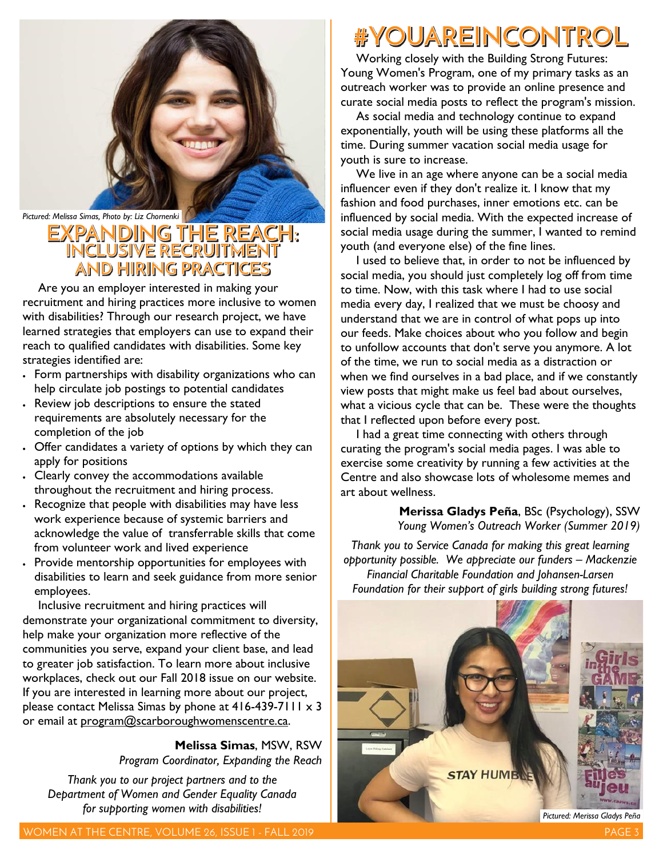

# *Pictured: Melissa Simas, Photo by: Liz Chornenki* **Analysis Analysis Controllery (2)**<br> **PANDING THE REACH**:<br>
INCLUSIVE RECRUITMENT AND HIRING PRACTICES

Are you an employer interested in making your recruitment and hiring practices more inclusive to women with disabilities? Through our research project, we have learned strategies that employers can use to expand their reach to qualified candidates with disabilities. Some key strategies identified are:

- Form partnerships with disability organizations who can help circulate job postings to potential candidates
- Review job descriptions to ensure the stated requirements are absolutely necessary for the completion of the job
- Offer candidates a variety of options by which they can apply for positions
- Clearly convey the accommodations available throughout the recruitment and hiring process.
- Recognize that people with disabilities may have less work experience because of systemic barriers and acknowledge the value of transferrable skills that come from volunteer work and lived experience
- Provide mentorship opportunities for employees with disabilities to learn and seek guidance from more senior employees.

Inclusive recruitment and hiring practices will demonstrate your organizational commitment to diversity, help make your organization more reflective of the communities you serve, expand your client base, and lead to greater job satisfaction. To learn more about inclusive workplaces, check out our Fall 2018 issue on our website. If you are interested in learning more about our project, please contact Melissa Simas by phone at  $416-439-7111 \times 3$ or email at program@scarboroughwomenscentre.ca.

> **Melissa Simas**, MSW, RSW *Program Coordinator, Expanding the Reach*

*Thank you to our project partners and to the Department of Women and Gender Equality Canada for supporting women with disabilities!* 

# #YOUAREINCONTROL

Working closely with the Building Strong Futures: Young Women's Program, one of my primary tasks as an outreach worker was to provide an online presence and curate social media posts to reflect the program's mission.

As social media and technology continue to expand exponentially, youth will be using these platforms all the time. During summer vacation social media usage for youth is sure to increase.

We live in an age where anyone can be a social media influencer even if they don't realize it. I know that my fashion and food purchases, inner emotions etc. can be influenced by social media. With the expected increase of social media usage during the summer, I wanted to remind youth (and everyone else) of the fine lines.

I used to believe that, in order to not be influenced by social media, you should just completely log off from time to time. Now, with this task where I had to use social media every day, I realized that we must be choosy and understand that we are in control of what pops up into our feeds. Make choices about who you follow and begin to unfollow accounts that don't serve you anymore. A lot of the time, we run to social media as a distraction or when we find ourselves in a bad place, and if we constantly view posts that might make us feel bad about ourselves, what a vicious cycle that can be. These were the thoughts that I reflected upon before every post.

I had a great time connecting with others through curating the program's social media pages. I was able to exercise some creativity by running a few activities at the Centre and also showcase lots of wholesome memes and art about wellness.

> **Merissa Gladys Peña**, BSc (Psychology), SSW *Young Women's Outreach Worker (Summer 2019)*

*Thank you to Service Canada for making this great learning opportunity possible. We appreciate our funders – Mackenzie Financial Charitable Foundation and Johansen-Larsen Foundation for their support of girls building strong futures!*